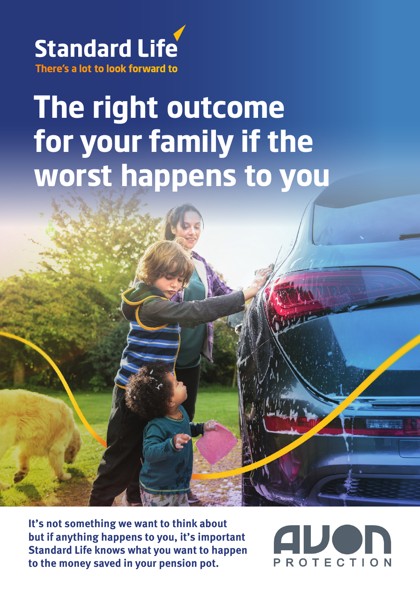

## **The right outcome for your family if the worst happens to you**

**It's not something we want to think about but if anything happens to you, it's important Standard Life knows what you want to happen to the money saved in your pension pot.**

PROTECTION